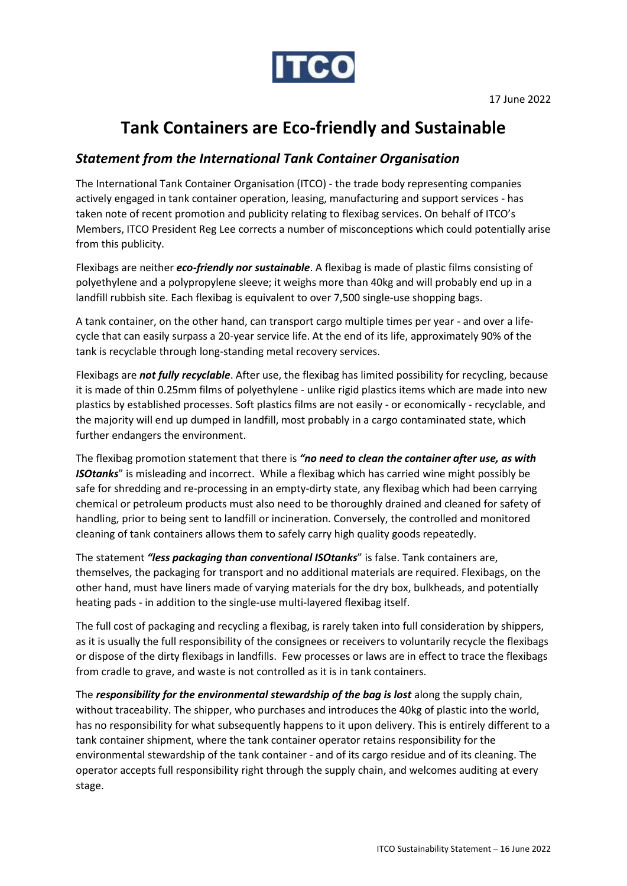

## **Tank Containers are Eco-friendly and Sustainable**

## *Statement from the International Tank Container Organisation*

The International Tank Container Organisation (ITCO) - the trade body representing companies actively engaged in tank container operation, leasing, manufacturing and support services - has taken note of recent promotion and publicity relating to flexibag services. On behalf of ITCO's Members, ITCO President Reg Lee corrects a number of misconceptions which could potentially arise from this publicity.

Flexibags are neither *eco-friendly nor sustainable*. A flexibag is made of plastic films consisting of polyethylene and a polypropylene sleeve; it weighs more than 40kg and will probably end up in a landfill rubbish site. Each flexibag is equivalent to over 7,500 single-use shopping bags.

A tank container, on the other hand, can transport cargo multiple times per year - and over a lifecycle that can easily surpass a 20-year service life. At the end of its life, approximately 90% of the tank is recyclable through long-standing metal recovery services.

Flexibags are *not fully recyclable*. After use, the flexibag has limited possibility for recycling, because it is made of thin 0.25mm films of polyethylene - unlike rigid plastics items which are made into new plastics by established processes. Soft plastics films are not easily - or economically - recyclable, and the majority will end up dumped in landfill, most probably in a cargo contaminated state, which further endangers the environment.

The flexibag promotion statement that there is *"no need to clean the container after use, as with ISOtanks*" is misleading and incorrect. While a flexibag which has carried wine might possibly be safe for shredding and re-processing in an empty-dirty state, any flexibag which had been carrying chemical or petroleum products must also need to be thoroughly drained and cleaned for safety of handling, prior to being sent to landfill or incineration. Conversely, the controlled and monitored cleaning of tank containers allows them to safely carry high quality goods repeatedly.

The statement *"less packaging than conventional ISOtanks*" is false. Tank containers are, themselves, the packaging for transport and no additional materials are required. Flexibags, on the other hand, must have liners made of varying materials for the dry box, bulkheads, and potentially heating pads - in addition to the single-use multi-layered flexibag itself.

The full cost of packaging and recycling a flexibag, is rarely taken into full consideration by shippers, as it is usually the full responsibility of the consignees or receivers to voluntarily recycle the flexibags or dispose of the dirty flexibags in landfills. Few processes or laws are in effect to trace the flexibags from cradle to grave, and waste is not controlled as it is in tank containers.

The *responsibility for the environmental stewardship of the bag is lost* along the supply chain, without traceability. The shipper, who purchases and introduces the 40kg of plastic into the world, has no responsibility for what subsequently happens to it upon delivery. This is entirely different to a tank container shipment, where the tank container operator retains responsibility for the environmental stewardship of the tank container - and of its cargo residue and of its cleaning. The operator accepts full responsibility right through the supply chain, and welcomes auditing at every stage.